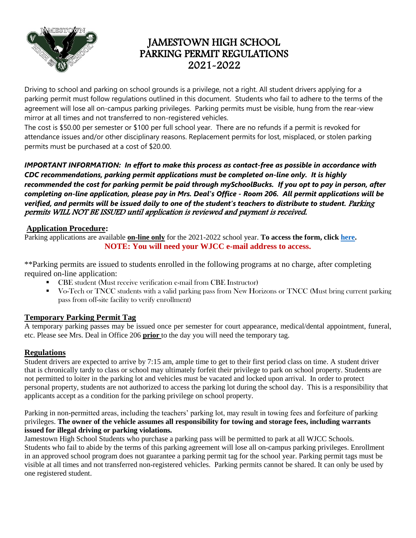

# JAMESTOWN HIGH SCHOOL PARKING PERMIT REGULATIONS 2021-2022

Driving to school and parking on school grounds is a privilege, not a right. All student drivers applying for a parking permit must follow regulations outlined in this document. Students who fail to adhere to the terms of the agreement will lose all on-campus parking privileges. Parking permits must be visible, hung from the rear-view mirror at all times and not transferred to non-registered vehicles.

The cost is \$50.00 per semester or \$100 per full school year. There are no refunds if a permit is revoked for attendance issues and/or other disciplinary reasons. Replacement permits for lost, misplaced, or stolen parking permits must be purchased at a cost of \$20.00.

*IMPORTANT INFORMATION: In effort to make this process as contact-free as possible in accordance with CDC recommendations, parking permit applications must be completed on-line only. It is highly recommended the cost for parking permit be paid through mySchoolBucks. If you opt to pay in person, after completing on-line application, please pay in Mrs. Deal's Office - Room 206. All permit applications will be verified, and permits will be issued daily to one of the student's teachers to distribute to student. Parking* permits WILL NOT BE ISSUED until application is reviewed and payment is received.

## **Application Procedure:**

Parking applications are available **on-line only** for the 2021-2022 school year. **To access the form, clic[k here.](https://forms.office.com/Pages/ResponsePage.aspx?id=KaBjthioUka9BdpP0bA5CttkhYWg9f9JpSeWCfHgrHFURDcwT0NDNUM4Mko0UTU1Vlg3SU1VOUZXTS4u) NOTE: You will need your WJCC e-mail address to access.**

\*\*Parking permits are issued to students enrolled in the following programs at no charge, after completing required on-line application:

- CBE student (Must receive verification e-mail from CBE Instructor)
- Vo-Tech or TNCC students with a valid parking pass from New Horizons or TNCC (Must bring current parking pass from off-site facility to verify enrollment)

# **Temporary Parking Permit Tag**

A temporary parking passes may be issued once per semester for court appearance, medical/dental appointment, funeral, etc. Please see Mrs. Deal in Office 206 **prior** to the day you will need the temporary tag.

# **Regulations**

Student drivers are expected to arrive by 7:15 am, ample time to get to their first period class on time. A student driver that is chronically tardy to class or school may ultimately forfeit their privilege to park on school property. Students are not permitted to loiter in the parking lot and vehicles must be vacated and locked upon arrival. In order to protect personal property, students are not authorized to access the parking lot during the school day. This is a responsibility that applicants accept as a condition for the parking privilege on school property.

Parking in non-permitted areas, including the teachers' parking lot, may result in towing fees and forfeiture of parking privileges. **The owner of the vehicle assumes all responsibility for towing and storage fees, including warrants issued for illegal driving or parking violations.**

Jamestown High School Students who purchase a parking pass will be permitted to park at all WJCC Schools. Students who fail to abide by the terms of this parking agreement will lose all on-campus parking privileges. Enrollment in an approved school program does not guarantee a parking permit tag for the school year. Parking permit tags must be visible at all times and not transferred non-registered vehicles. Parking permits cannot be shared. It can only be used by one registered student.